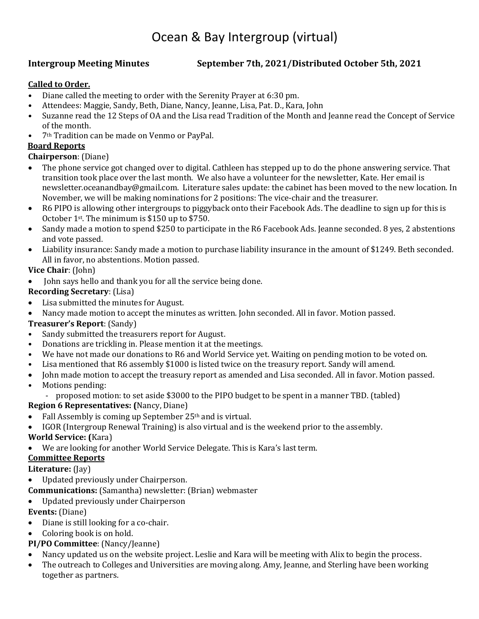# Ocean & Bay Intergroup (virtual)

#### **Intergroup Meeting Minutes September 7th, 2021/Distributed October 5th, 2021**

#### **Called to Order.**

- Diane called the meeting to order with the Serenity Prayer at 6:30 pm.
- Attendees: Maggie, Sandy, Beth, Diane, Nancy, Jeanne, Lisa, Pat. D., Kara, John<br>• Suzanne read the 12 Steps of OA and the Lisa read Tradition of the Month and
- Suzanne read the 12 Steps of OA and the Lisa read Tradition of the Month and Jeanne read the Concept of Service of the month.
- 7th Tradition can be made on Venmo or PayPal.

#### **Board Reports**

#### **Chairperson**: (Diane)

- The phone service got changed over to digital. Cathleen has stepped up to do the phone answering service. That transition took place over the last month. We also have a volunteer for the newsletter, Kate. Her email is newsletter.oceanandbay@gmail.com. Literature sales update: the cabinet has been moved to the new location. In November, we will be making nominations for 2 positions: The vice-chair and the treasurer.
- R6 PIPO is allowing other intergroups to piggyback onto their Facebook Ads. The deadline to sign up for this is October 1st. The minimum is \$150 up to \$750.
- Sandy made a motion to spend \$250 to participate in the R6 Facebook Ads. Jeanne seconded. 8 yes, 2 abstentions and vote passed.
- Liability insurance: Sandy made a motion to purchase liability insurance in the amount of \$1249. Beth seconded. All in favor, no abstentions. Motion passed.

#### **Vice Chair**: (John)

• John says hello and thank you for all the service being done.

#### **Recording Secretary**: (Lisa)

- Lisa submitted the minutes for August.
- Nancy made motion to accept the minutes as written. John seconded. All in favor. Motion passed.

#### **Treasurer's Report**: (Sandy)

- Sandy submitted the treasurers report for August.
- Donations are trickling in. Please mention it at the meetings.
- We have not made our donations to R6 and World Service yet. Waiting on pending motion to be voted on.
- Lisa mentioned that R6 assembly \$1000 is listed twice on the treasury report. Sandy will amend.
- John made motion to accept the treasury report as amended and Lisa seconded. All in favor. Motion passed.
- Motions pending:
	- proposed motion: to set aside \$3000 to the PIPO budget to be spent in a manner TBD. (tabled)

#### **Region 6 Representatives: (**Nancy, Diane)

- Fall Assembly is coming up September  $25<sup>th</sup>$  and is virtual.
- IGOR (Intergroup Renewal Training) is also virtual and is the weekend prior to the assembly.

#### **World Service: (**Kara)

We are looking for another World Service Delegate. This is Kara's last term.

#### **Committee Reports**

#### **Literature:** (Jay)

• Updated previously under Chairperson.

**Communications:** (Samantha) newsletter: (Brian) webmaster

• Updated previously under Chairperson

#### **Events:** (Diane)

- Diane is still looking for a co-chair.
- Coloring book is on hold.

#### **PI/PO Committee**: (Nancy/Jeanne)

- Nancy updated us on the website project. Leslie and Kara will be meeting with Alix to begin the process.
- The outreach to Colleges and Universities are moving along. Amy, Jeanne, and Sterling have been working together as partners.